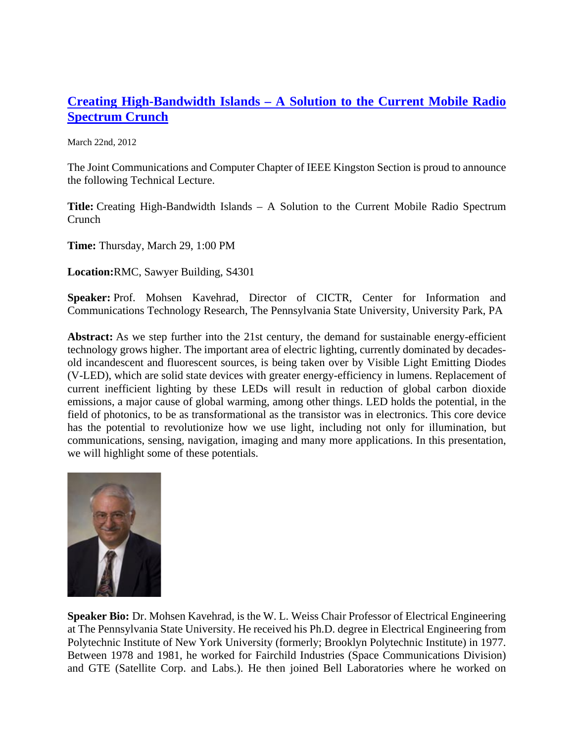## **Creating High-Bandwidth Islands – [A Solution to the Current Mobile Radio](http://sites.ieee.org/kingston/2012/03/22/creating/)  [Spectrum Crunch](http://sites.ieee.org/kingston/2012/03/22/creating/)**

March 22nd, 2012

The Joint Communications and Computer Chapter of IEEE Kingston Section is proud to announce the following Technical Lecture.

**Title:** Creating High-Bandwidth Islands – A Solution to the Current Mobile Radio Spectrum Crunch

**Time:** Thursday, March 29, 1:00 PM

**Location:**RMC, Sawyer Building, S4301

**Speaker:** Prof. Mohsen Kavehrad, Director of CICTR, Center for Information and Communications Technology Research, The Pennsylvania State University, University Park, PA

**Abstract:** As we step further into the 21st century, the demand for sustainable energy-efficient technology grows higher. The important area of electric lighting, currently dominated by decadesold incandescent and fluorescent sources, is being taken over by Visible Light Emitting Diodes (V-LED), which are solid state devices with greater energy-efficiency in lumens. Replacement of current inefficient lighting by these LEDs will result in reduction of global carbon dioxide emissions, a major cause of global warming, among other things. LED holds the potential, in the field of photonics, to be as transformational as the transistor was in electronics. This core device has the potential to revolutionize how we use light, including not only for illumination, but communications, sensing, navigation, imaging and many more applications. In this presentation, we will highlight some of these potentials.



**Speaker Bio:** Dr. Mohsen Kavehrad, is the W. L. Weiss Chair Professor of Electrical Engineering at The Pennsylvania State University. He received his Ph.D. degree in Electrical Engineering from Polytechnic Institute of New York University (formerly; Brooklyn Polytechnic Institute) in 1977. Between 1978 and 1981, he worked for Fairchild Industries (Space Communications Division) and GTE (Satellite Corp. and Labs.). He then joined Bell Laboratories where he worked on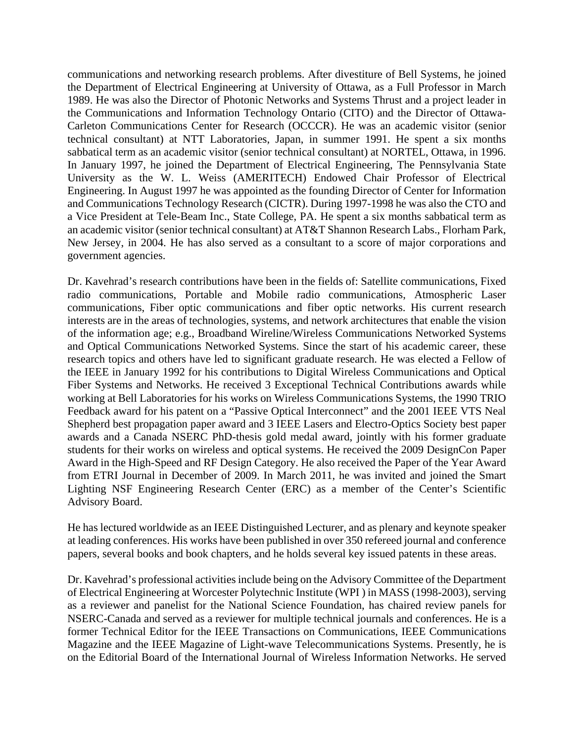communications and networking research problems. After divestiture of Bell Systems, he joined the Department of Electrical Engineering at University of Ottawa, as a Full Professor in March 1989. He was also the Director of Photonic Networks and Systems Thrust and a project leader in the Communications and Information Technology Ontario (CITO) and the Director of Ottawa-Carleton Communications Center for Research (OCCCR). He was an academic visitor (senior technical consultant) at NTT Laboratories, Japan, in summer 1991. He spent a six months sabbatical term as an academic visitor (senior technical consultant) at NORTEL, Ottawa, in 1996. In January 1997, he joined the Department of Electrical Engineering, The Pennsylvania State University as the W. L. Weiss (AMERITECH) Endowed Chair Professor of Electrical Engineering. In August 1997 he was appointed as the founding Director of Center for Information and Communications Technology Research (CICTR). During 1997-1998 he was also the CTO and a Vice President at Tele-Beam Inc., State College, PA. He spent a six months sabbatical term as an academic visitor (senior technical consultant) at AT&T Shannon Research Labs., Florham Park, New Jersey, in 2004. He has also served as a consultant to a score of major corporations and government agencies.

Dr. Kavehrad's research contributions have been in the fields of: Satellite communications, Fixed radio communications, Portable and Mobile radio communications, Atmospheric Laser communications, Fiber optic communications and fiber optic networks. His current research interests are in the areas of technologies, systems, and network architectures that enable the vision of the information age; e.g., Broadband Wireline/Wireless Communications Networked Systems and Optical Communications Networked Systems. Since the start of his academic career, these research topics and others have led to significant graduate research. He was elected a Fellow of the IEEE in January 1992 for his contributions to Digital Wireless Communications and Optical Fiber Systems and Networks. He received 3 Exceptional Technical Contributions awards while working at Bell Laboratories for his works on Wireless Communications Systems, the 1990 TRIO Feedback award for his patent on a "Passive Optical Interconnect" and the 2001 IEEE VTS Neal Shepherd best propagation paper award and 3 IEEE Lasers and Electro-Optics Society best paper awards and a Canada NSERC PhD-thesis gold medal award, jointly with his former graduate students for their works on wireless and optical systems. He received the 2009 DesignCon Paper Award in the High-Speed and RF Design Category. He also received the Paper of the Year Award from ETRI Journal in December of 2009. In March 2011, he was invited and joined the Smart Lighting NSF Engineering Research Center (ERC) as a member of the Center's Scientific Advisory Board.

He has lectured worldwide as an IEEE Distinguished Lecturer, and as plenary and keynote speaker at leading conferences. His works have been published in over 350 refereed journal and conference papers, several books and book chapters, and he holds several key issued patents in these areas.

Dr. Kavehrad's professional activities include being on the Advisory Committee of the Department of Electrical Engineering at Worcester Polytechnic Institute (WPI ) in MASS (1998-2003), serving as a reviewer and panelist for the National Science Foundation, has chaired review panels for NSERC-Canada and served as a reviewer for multiple technical journals and conferences. He is a former Technical Editor for the IEEE Transactions on Communications, IEEE Communications Magazine and the IEEE Magazine of Light-wave Telecommunications Systems. Presently, he is on the Editorial Board of the International Journal of Wireless Information Networks. He served